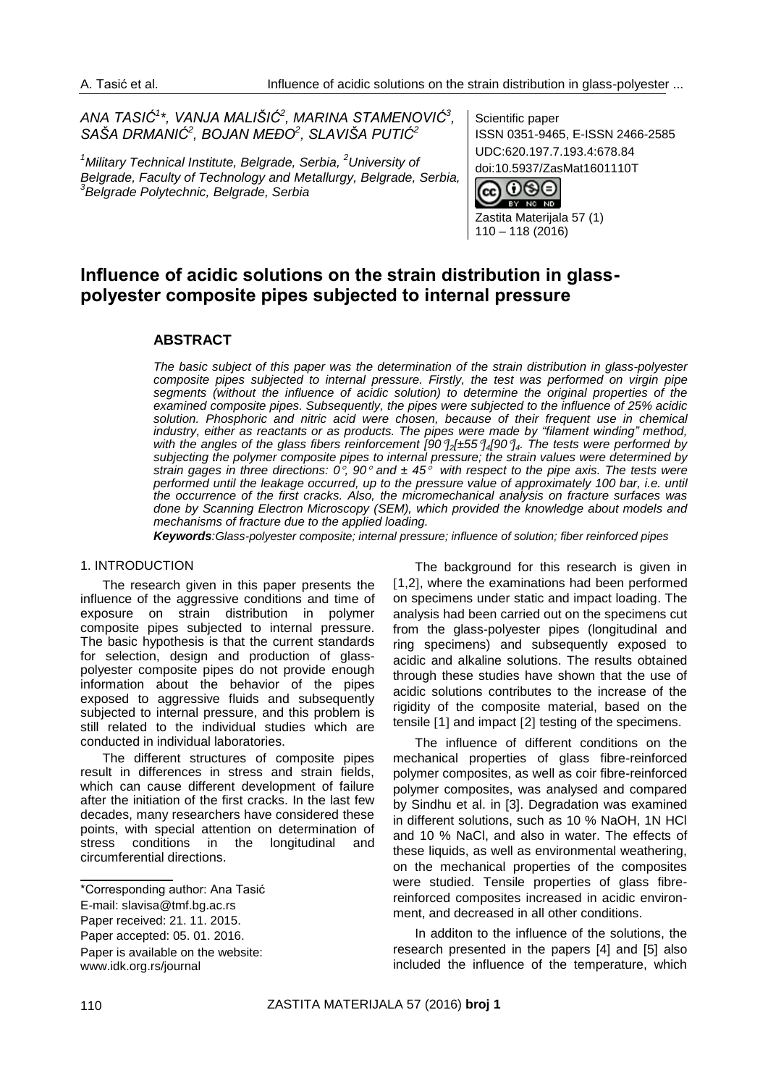*ANA TASIĆ<sup>1</sup> \*, VANJA MALIŠIĆ<sup>2</sup> , MARINA STAMENOVIĆ<sup>3</sup> , SAŠA DRMANIĆ<sup>2</sup> , BOJAN MEĐO<sup>2</sup> , SLAVIŠA PUTIĆ<sup>2</sup>*

*<sup>1</sup>Military Technical Institute, Belgrade, Serbia, <sup>2</sup>University of Belgrade, Faculty of Technology and Metallurgy, Belgrade, Serbia, 3 Belgrade Polytechnic, Belgrade, Serbia*

Scientific paper ISSN 0351-9465, E-ISSN 2466-2585 UDC:620.197.7.193.4:678.84 [doi:10.5937/ZasMat160](http://dx.doi.org/10.5937/ZasMat1404351O)1110T



Zastita Materijala 57 (1) 110 – 118 (2016)

# **Influence of acidic solutions on the strain distribution in glasspolyester composite pipes subjected to internal pressure**

## **ABSTRACT**

*The basic subject of this paper was the determination of the strain distribution in glass-polyester composite pipes subjected to internal pressure. Firstly, the test was performed on virgin pipe segments (without the influence of acidic solution) to determine the original properties of the examined composite pipes. Subsequently, the pipes were subjected to the influence of 25% acidic solution. Phosphoric and nitric acid were chosen, because of their frequent use in chemical industry, either as reactants or as products. The pipes were made by "filament winding" method, with the angles of the glass fibers reinforcement [90]2[±55]4[90]4. The tests were performed by subjecting the polymer composite pipes to internal pressure; the strain values were determined by strain gages in three directions: 0, 90 and ± 45 with respect to the pipe axis. The tests were performed until the leakage occurred, up to the pressure value of approximately 100 bar, i.e. until the occurrence of the first cracks. Also, the micromechanical analysis on fracture surfaces was done by Scanning Electron Microscopy (SEM), which provided the knowledge about models and mechanisms of fracture due to the applied loading.*

*Keywords:Glass-polyester composite; internal pressure; influence of solution; fiber reinforced pipes*

#### 1. INTRODUCTION

The research given in this paper presents the influence of the aggressive conditions and time of exposure on strain distribution in polymer composite pipes subjected to internal pressure. The basic hypothesis is that the current standards for selection, design and production of glasspolyester composite pipes do not provide enough information about the behavior of the pipes exposed to aggressive fluids and subsequently subjected to internal pressure, and this problem is still related to the individual studies which are conducted in individual laboratories.

The different structures of composite pipes result in differences in stress and strain fields, which can cause different development of failure after the initiation of the first cracks. In the last few decades, many researchers have considered these points, with special attention on determination of stress conditions in the longitudinal and circumferential directions.

Paper is available on the website: [www.idk.org.rs/journal](http://www.idk.org.rs/journal)

The background for this research is given in [1,2], where the examinations had been performed on specimens under static and impact loading. The analysis had been carried out on the specimens cut from the glass-polyester pipes (longitudinal and ring specimens) and subsequently exposed to acidic and alkaline solutions. The results obtained through these studies have shown that the use of acidic solutions contributes to the increase of the rigidity of the composite material, based on the tensile  $[1]$  and impact  $[2]$  testing of the specimens.

The influence of different conditions on the mechanical properties of glass fibre-reinforced polymer composites, as well as coir fibre-reinforced polymer composites, was analysed and compared by Sindhu et al. in [3]. Degradation was examined in different solutions, such as 10 % NaOH, 1N HCl and 10 % NaCl, and also in water. The effects of these liquids, as well as environmental weathering, on the mechanical properties of the composites were studied. Tensile properties of glass fibrereinforced composites increased in acidic environment, and decreased in all other conditions.

In additon to the influence of the solutions, the research presented in the papers [4] and [5] also included the influence of the temperature, which

<sup>\*</sup>Corresponding author: Ana Tasić

E-mail: [slavisa@tmf.bg.ac.rs](mailto:slavisa@tmf.bg.ac.rs)

Paper received: 21. 11. 2015.

Paper accepted: 05. 01. 2016.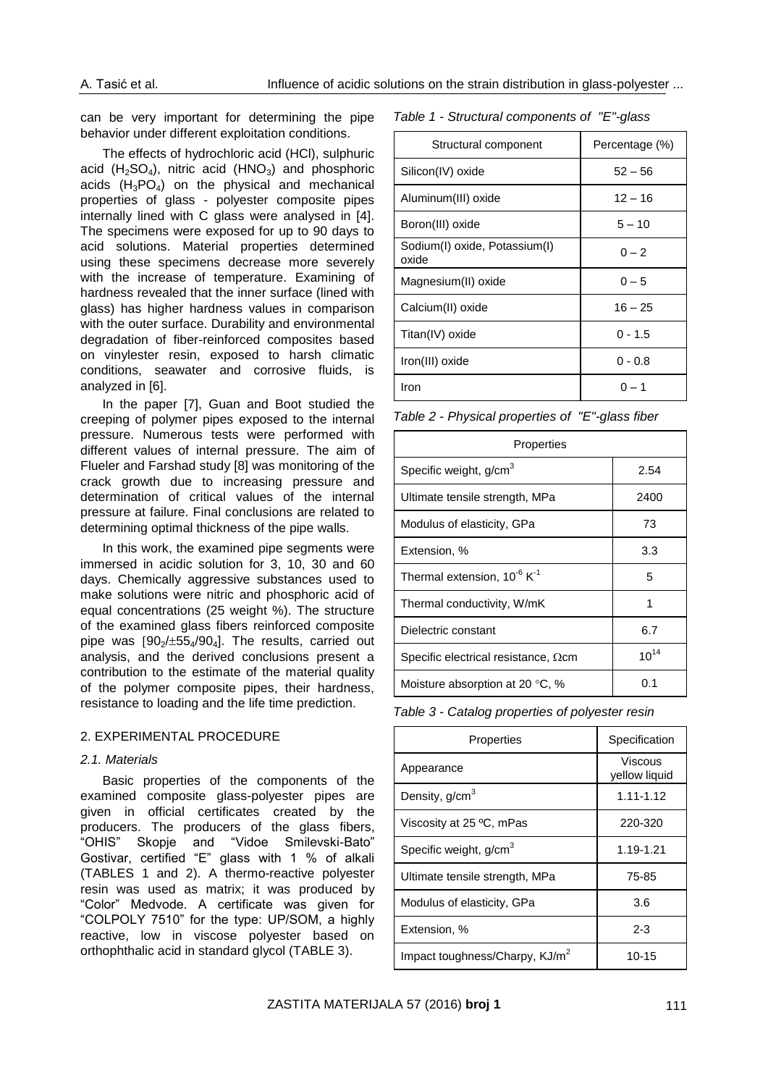can be very important for determining the pipe behavior under different exploitation conditions.

The effects of hydrochloric acid (HCl), sulphuric acid  $(H_2SO_4)$ , nitric acid  $(HNO_3)$  and phosphoric acids  $(H_3PO_4)$  on the physical and mechanical properties of glass - polyester composite pipes internally lined with C glass were analysed in [4]. The specimens were exposed for up to 90 days to acid solutions. Material properties determined using these specimens decrease more severely with the increase of temperature. Examining of hardness revealed that the inner surface (lined with glass) has higher hardness values in comparison with the outer surface. Durability and environmental degradation of fiber-reinforced composites based on vinylester resin, exposed to harsh climatic conditions, seawater and corrosive fluids, is analyzed in [6].

In the paper [7], Guan and Boot studied the creeping of polymer pipes exposed to the internal pressure. Numerous tests were performed with different values of internal pressure. The aim of Flueler and Farshad study [8] was monitoring of the crack growth due to increasing pressure and determination of critical values of the internal pressure at failure. Final conclusions are related to determining optimal thickness of the pipe walls.

In this work, the examined pipe segments were immersed in acidic solution for 3, 10, 30 and 60 days. Chemically aggressive substances used to make solutions were nitric and phosphoric acid of equal concentrations (25 weight %). The structure of the examined glass fibers reinforced composite pipe was  $[90<sub>2</sub>/±55<sub>4</sub>/90<sub>4</sub>]$ . The results, carried out analysis, and the derived conclusions present a contribution to the estimate of the material quality of the polymer composite pipes, their hardness, resistance to loading and the life time prediction.

#### 2. EXPERIMENTAL PROCEDURE

#### *2.1. Materials*

Basic properties of the components of the examined composite glass-polyester pipes are given in official certificates created by the producers. The producers of the glass fibers, "OHIS" Skopje and "Vidoe Smilevski-Bato" Gostivar, certified "E" glass with 1 % of alkali (TABLES 1 and 2). A thermo-reactive polyester resin was used as matrix; it was produced by "Color" Medvode. A certificate was given for "COLPOLY 7510" for the type: UP/SOM, a highly reactive, low in viscose polyester based on orthophthalic acid in standard glycol (TABLE 3).

| Table 1 - Structural components of "E"-glass |  |  |
|----------------------------------------------|--|--|
|----------------------------------------------|--|--|

| Structural component                   | Percentage (%) |
|----------------------------------------|----------------|
| Silicon(IV) oxide                      | $52 - 56$      |
| Aluminum(III) oxide                    | $12 - 16$      |
| Boron(III) oxide                       | $5 - 10$       |
| Sodium(I) oxide, Potassium(I)<br>oxide | $0 - 2$        |
| Magnesium(II) oxide                    | $0 - 5$        |
| Calcium(II) oxide                      | $16 - 25$      |
| Titan(IV) oxide                        | $0 - 1.5$      |
| Iron(III) oxide                        | $0 - 0.8$      |
| Iron                                   | በ – 1          |

*Table 2 - Physical properties of "E"-glass fiber*

| Properties                                   |           |  |  |  |  |
|----------------------------------------------|-----------|--|--|--|--|
| Specific weight, g/cm <sup>3</sup>           | 2.54      |  |  |  |  |
| Ultimate tensile strength, MPa               | 2400      |  |  |  |  |
| Modulus of elasticity, GPa                   | 73        |  |  |  |  |
| Extension, %                                 | 3.3       |  |  |  |  |
| Thermal extension, $10^{-6}$ K <sup>-1</sup> | 5         |  |  |  |  |
| Thermal conductivity, W/mK                   | 1         |  |  |  |  |
| Dielectric constant                          | 6.7       |  |  |  |  |
| Specific electrical resistance, $\Omega$ cm  | $10^{14}$ |  |  |  |  |
| Moisture absorption at 20 $\degree$ C, %     | 0.1       |  |  |  |  |

*Table 3 - Catalog properties of polyester resin*

| Properties                                 | Specification            |
|--------------------------------------------|--------------------------|
| Appearance                                 | Viscous<br>vellow liquid |
| Density, $g/cm3$                           | $1.11 - 1.12$            |
| Viscosity at 25 °C, mPas                   | 220-320                  |
| Specific weight, g/cm <sup>3</sup>         | 1.19-1.21                |
| Ultimate tensile strength, MPa             | 75-85                    |
| Modulus of elasticity, GPa                 | 3.6                      |
| Extension, %                               | $2 - 3$                  |
| Impact toughness/Charpy, KJ/m <sup>2</sup> | $10 - 15$                |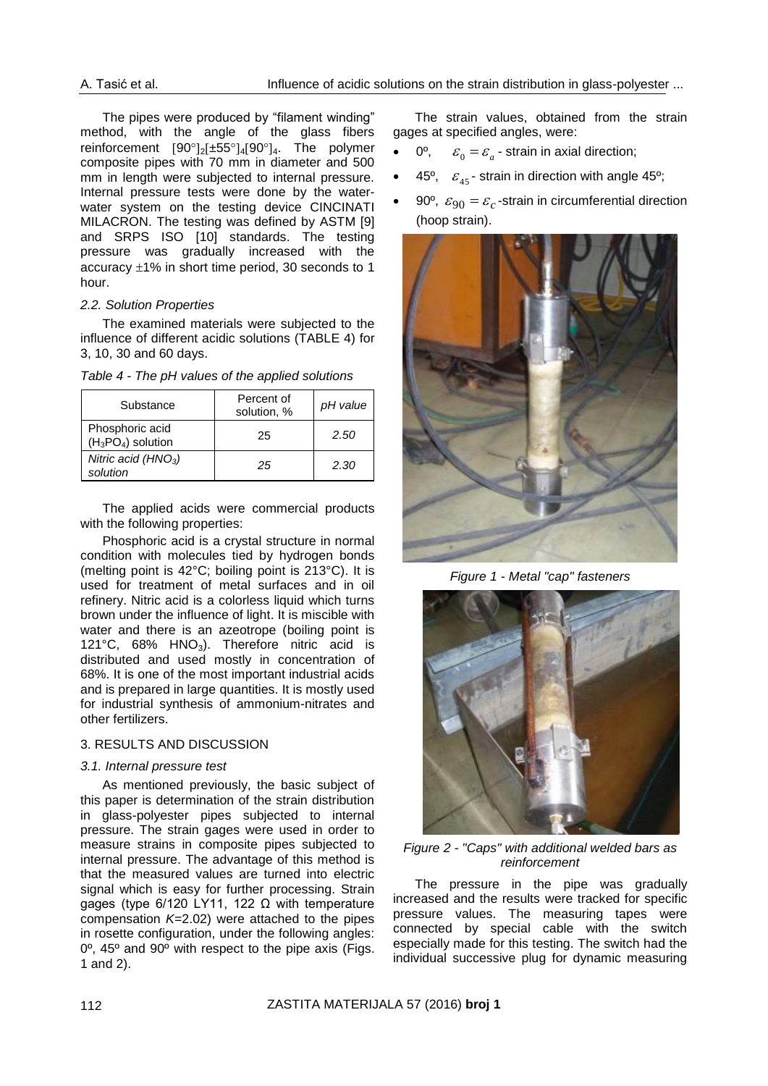The pipes were produced by "filament winding" method, with the angle of the glass fibers reinforcement  $[90^\circ]_2[\pm 55^\circ]_4[90^\circ]_4$ . The polymer composite pipes with 70 mm in diameter and 500 mm in length were subjected to internal pressure. Internal pressure tests were done by the waterwater system on the testing device CINCINATI MILACRON. The testing was defined by ASTM [9] and SRPS ISO [10] standards. The testing pressure was gradually increased with the accuracy  $\pm 1\%$  in short time period, 30 seconds to 1 hour.

## *2.2. Solution Properties*

The examined materials were subjected to the influence of different acidic solutions (TABLE 4) for 3, 10, 30 and 60 days.

|  |  | Table 4 - The pH values of the applied solutions |  |  |  |
|--|--|--------------------------------------------------|--|--|--|
|--|--|--------------------------------------------------|--|--|--|

| Substance                               | Percent of<br>solution, % | pH value |
|-----------------------------------------|---------------------------|----------|
| Phosphoric acid<br>$(H_3PO_4)$ solution | 25                        | 2.50     |
| Nitric acid $(HNO3)$<br>solution        | 25                        | 2.30     |

The applied acids were commercial products with the following properties:

Phosphoric acid is a crystal structure in normal condition with molecules tied by hydrogen bonds (melting point is 42°C; boiling point is 213°C). It is used for treatment of metal surfaces and in oil refinery. Nitric acid is a colorless liquid which turns brown under the influence of light. It is miscible with water and there is an azeotrope (boiling point is 121°C, 68% HNO<sub>3</sub>). Therefore nitric acid is distributed and used mostly in concentration of 68%. It is one of the most important industrial acids and is prepared in large quantities. It is mostly used for industrial synthesis of ammonium-nitrates and other fertilizers.

## 3. RESULTS AND DISCUSSION

#### *3.1. Internal pressure test*

As mentioned previously, the basic subject of this paper is determination of the strain distribution in glass-polyester pipes subjected to internal pressure. The strain gages were used in order to measure strains in composite pipes subjected to internal pressure. The advantage of this method is that the measured values are turned into electric signal which is easy for further processing. Strain gages (type 6/120 LY11, 122 Ω with temperature compensation *K*=2.02) were attached to the pipes in rosette configuration, under the following angles: 0º, 45º and 90º with respect to the pipe axis (Figs. 1 and 2).

The strain values, obtained from the strain gages at specified angles, were:

- 0º,  $\varepsilon_{0} = \varepsilon_{a}$  - strain in axial direction;
- 45°,  $\varepsilon_{45}$ -strain in direction with angle 45°;
- 90°,  $\varepsilon_{90} = \varepsilon_c$ -strain in circumferential direction (hoop strain).



*Figure 1 - Metal "cap" fasteners*



*Figure 2 - "Caps" with additional welded bars as reinforcement*

The pressure in the pipe was gradually increased and the results were tracked for specific pressure values. The measuring tapes were connected by special cable with the switch especially made for this testing. The switch had the individual successive plug for dynamic measuring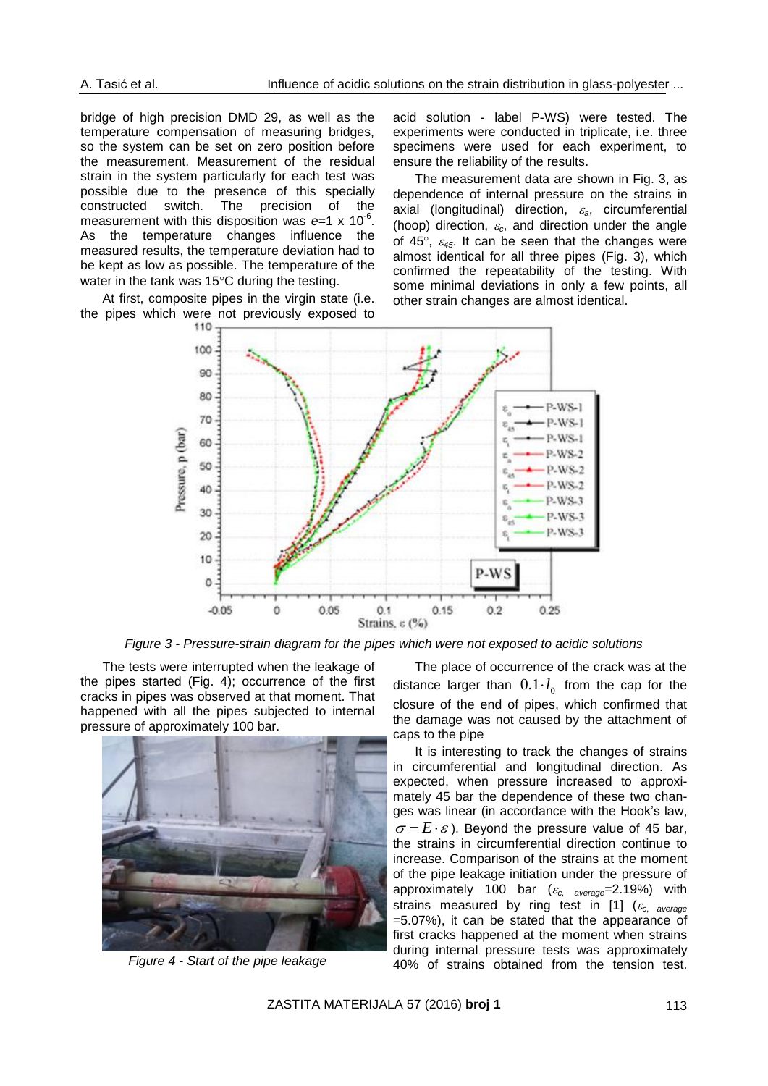bridge of high precision DMD 29, as well as the temperature compensation of measuring bridges, so the system can be set on zero position before the measurement. Measurement of the residual strain in the system particularly for each test was possible due to the presence of this specially constructed switch. The precision of the measurement with this disposition was e=1 x 10<sup>-6</sup>. As the temperature changes influence the measured results, the temperature deviation had to be kept as low as possible. The temperature of the water in the tank was  $15^{\circ}$ C during the testing.

At first, composite pipes in the virgin state (i.e. the pipes which were not previously exposed to acid solution - label P-WS) were tested. The experiments were conducted in triplicate, i.e. three specimens were used for each experiment, to ensure the reliability of the results.

The measurement data are shown in Fig. 3, as dependence of internal pressure on the strains in axial (longitudinal) direction, *a*, circumferential (hoop) direction,  $\varepsilon_c$ , and direction under the angle of 45 $\degree$ ,  $\varepsilon_{45}$ . It can be seen that the changes were almost identical for all three pipes (Fig. 3), which confirmed the repeatability of the testing. With some minimal deviations in only a few points, all other strain changes are almost identical.



*Figure 3 - Pressure-strain diagram for the pipes which were not exposed to acidic solutions*

The tests were interrupted when the leakage of the pipes started (Fig. 4); occurrence of the first cracks in pipes was observed at that moment. That happened with all the pipes subjected to internal pressure of approximately 100 bar.



*Figure 4 - Start of the pipe leakage*

The place of occurrence of the crack was at the distance larger than  $0.1 \cdot l_{0}$  from the cap for the closure of the end of pipes, which confirmed that the damage was not caused by the attachment of caps to the pipe

It is interesting to track the changes of strains in circumferential and longitudinal direction. As expected, when pressure increased to approximately 45 bar the dependence of these two changes was linear (in accordance with the Hook's law,  $\sigma = E \cdot \varepsilon$ ). Beyond the pressure value of 45 bar, the strains in circumferential direction continue to increase. Comparison of the strains at the moment of the pipe leakage initiation under the pressure of approximately 100 bar (*c, average*=2.19%) with strains measured by ring test in [1] (*c, average* =5.07%), it can be stated that the appearance of first cracks happened at the moment when strains during internal pressure tests was approximately 40% of strains obtained from the tension test.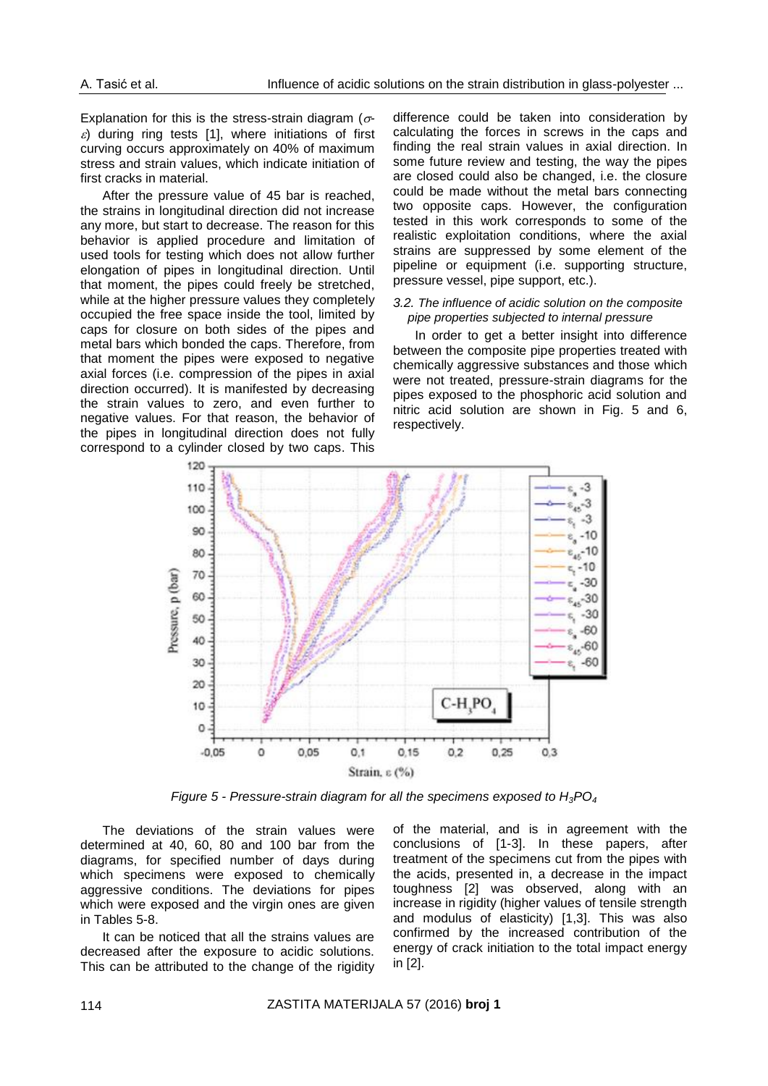Explanation for this is the stress-strain diagram ( $\sigma$ - $\varepsilon$ ) during ring tests [1], where initiations of first curving occurs approximately on 40% of maximum stress and strain values, which indicate initiation of first cracks in material.

After the pressure value of 45 bar is reached, the strains in longitudinal direction did not increase any more, but start to decrease. The reason for this behavior is applied procedure and limitation of used tools for testing which does not allow further elongation of pipes in longitudinal direction. Until that moment, the pipes could freely be stretched, while at the higher pressure values they completely occupied the free space inside the tool, limited by caps for closure on both sides of the pipes and metal bars which bonded the caps. Therefore, from that moment the pipes were exposed to negative axial forces (i.e. compression of the pipes in axial direction occurred). It is manifested by decreasing the strain values to zero, and even further to negative values. For that reason, the behavior of the pipes in longitudinal direction does not fully correspond to a cylinder closed by two caps. This

difference could be taken into consideration by calculating the forces in screws in the caps and finding the real strain values in axial direction. In some future review and testing, the way the pipes are closed could also be changed, i.e. the closure could be made without the metal bars connecting two opposite caps. However, the configuration tested in this work corresponds to some of the realistic exploitation conditions, where the axial strains are suppressed by some element of the pipeline or equipment (i.e. supporting structure, pressure vessel, pipe support, etc.).

#### *3.2. The influence of acidic solution on the composite pipe properties subjected to internal pressure*

In order to get a better insight into difference between the composite pipe properties treated with chemically aggressive substances and those which were not treated, pressure-strain diagrams for the pipes exposed to the phosphoric acid solution and nitric acid solution are shown in Fig. 5 and 6, respectively.



*Figure 5 - Pressure-strain diagram for all the specimens exposed to H3PO<sup>4</sup>*

The deviations of the strain values were determined at 40, 60, 80 and 100 bar from the diagrams, for specified number of days during which specimens were exposed to chemically aggressive conditions. The deviations for pipes which were exposed and the virgin ones are given in Tables 5-8.

It can be noticed that all the strains values are decreased after the exposure to acidic solutions. This can be attributed to the change of the rigidity

of the material, and is in agreement with the conclusions of [1-3]. In these papers, after treatment of the specimens cut from the pipes with the acids, presented in, a decrease in the impact toughness [2] was observed, along with an increase in rigidity (higher values of tensile strength and modulus of elasticity) [1,3]. This was also confirmed by the increased contribution of the energy of crack initiation to the total impact energy in [2].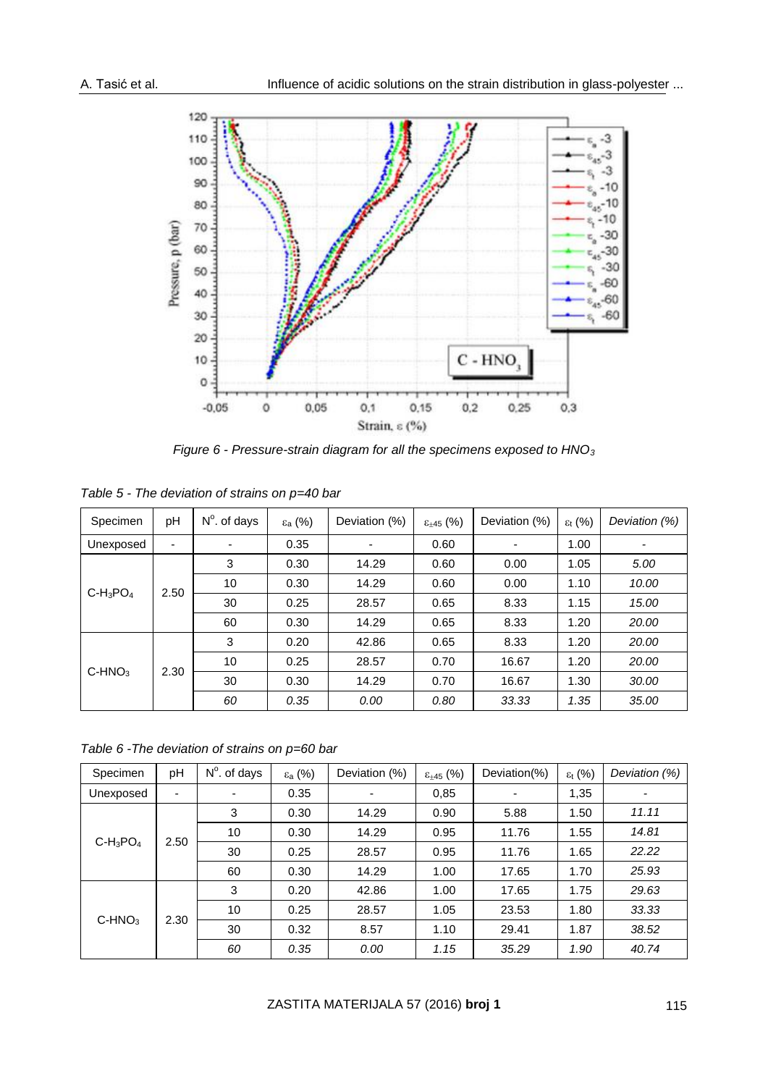

*Figure 6 - Pressure-strain diagram for all the specimens exposed to HNO<sup>3</sup>*

| Specimen         | pH   | $N^{\circ}$ . of days | $\varepsilon$ <sub>a</sub> (%) | Deviation (%) | $\epsilon_{\pm 45}$ (%) | Deviation (%)            | $\varepsilon_{t}$ (%) | Deviation (%) |
|------------------|------|-----------------------|--------------------------------|---------------|-------------------------|--------------------------|-----------------------|---------------|
| Unexposed        | ٠    | ٠                     | 0.35                           |               | 0.60                    | $\overline{\phantom{0}}$ | 1.00                  |               |
|                  |      | 3                     | 0.30                           | 14.29         | 0.60                    | 0.00                     | 1.05                  | 5.00          |
|                  | 2.50 | 10                    | 0.30                           | 14.29         | 0.60                    | 0.00                     | 1.10                  | 10.00         |
| $C-H_3PO_4$      |      | 30                    | 0.25                           | 28.57         | 0.65                    | 8.33                     | 1.15                  | 15.00         |
|                  |      | 60                    | 0.30                           | 14.29         | 0.65                    | 8.33                     | 1.20                  | 20.00         |
| $C-HNO3$<br>2.30 | 3    | 0.20                  | 42.86                          | 0.65          | 8.33                    | 1.20                     | 20.00                 |               |
|                  |      | 10                    | 0.25                           | 28.57         | 0.70                    | 16.67                    | 1.20                  | 20.00         |
|                  |      | 30                    | 0.30                           | 14.29         | 0.70                    | 16.67                    | 1.30                  | 30.00         |
|                  |      | 60                    | 0.35                           | 0.00          | 0.80                    | 33.33                    | 1.35                  | 35.00         |

*Table 5 - The deviation of strains on p=40 bar*

*Table 6 -The deviation of strains on p=60 bar*

| Specimen            | pH | $N^{\circ}$ . of days | ε <sub>a</sub> (%) | Deviation (%) | $\epsilon_{\pm 45}$ (%) | Deviation(%) | $\varepsilon_{t}$ (%) | Deviation (%) |
|---------------------|----|-----------------------|--------------------|---------------|-------------------------|--------------|-----------------------|---------------|
| Unexposed           | ۰  | $\blacksquare$        | 0.35               | ۰             | 0.85                    | ٠            | 1,35                  | -             |
| $C-H_3PO_4$<br>2.50 |    | 3                     | 0.30               | 14.29         | 0.90                    | 5.88         | 1.50                  | 11.11         |
|                     |    | 10                    | 0.30               | 14.29         | 0.95                    | 11.76        | 1.55                  | 14.81         |
|                     |    | 30                    | 0.25               | 28.57         | 0.95                    | 11.76        | 1.65                  | 22.22         |
|                     |    | 60                    | 0.30               | 14.29         | 1.00                    | 17.65        | 1.70                  | 25.93         |
| $C-HNO3$<br>2.30    | 3  | 0.20                  | 42.86              | 1.00          | 17.65                   | 1.75         | 29.63                 |               |
|                     |    | 10                    | 0.25               | 28.57         | 1.05                    | 23.53        | 1.80                  | 33.33         |
|                     |    | 30                    | 0.32               | 8.57          | 1.10                    | 29.41        | 1.87                  | 38.52         |
|                     |    | 60                    | 0.35               | 0.00          | 1.15                    | 35.29        | 1.90                  | 40.74         |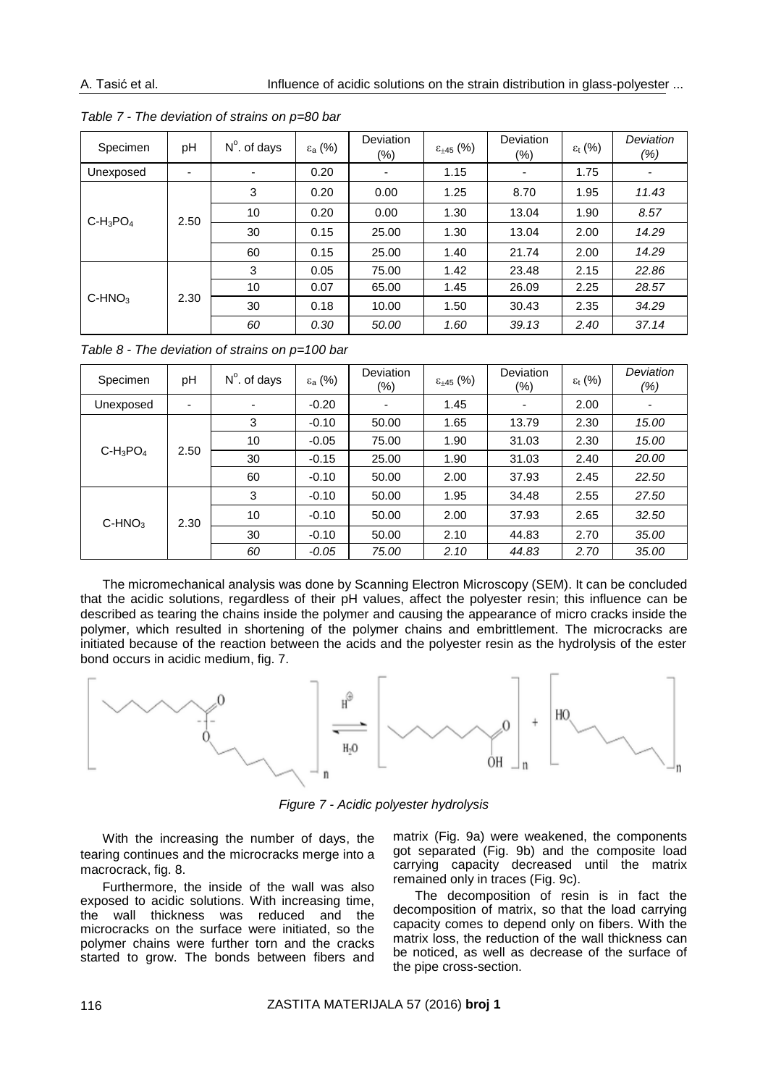| Specimen            | pH   | $N^{\circ}$ . of days | $\varepsilon$ <sub>a</sub> (%) | <b>Deviation</b><br>$(\%)$ | $\varepsilon_{\pm 45}$ (%) | Deviation<br>$(\%)$ | $\varepsilon_{t}$ (%) | Deviation<br>(%) |
|---------------------|------|-----------------------|--------------------------------|----------------------------|----------------------------|---------------------|-----------------------|------------------|
| Unexposed           | ۰    | ۰                     | 0.20                           | $\overline{\phantom{a}}$   | 1.15                       | -                   | 1.75                  |                  |
|                     |      | 3                     | 0.20                           | 0.00                       | 1.25                       | 8.70                | 1.95                  | 11.43            |
| $C-H_3PO_4$<br>2.50 |      | 10                    | 0.20                           | 0.00                       | 1.30                       | 13.04               | 1.90                  | 8.57             |
|                     |      | 30                    | 0.15                           | 25.00                      | 1.30                       | 13.04               | 2.00                  | 14.29            |
|                     |      | 60                    | 0.15                           | 25.00                      | 1.40                       | 21.74               | 2.00                  | 14.29            |
|                     |      | 3                     | 0.05                           | 75.00                      | 1.42                       | 23.48               | 2.15                  | 22.86            |
| $C-HNO3$            | 2.30 | 10                    | 0.07                           | 65.00                      | 1.45                       | 26.09               | 2.25                  | 28.57            |
|                     |      | 30                    | 0.18                           | 10.00                      | 1.50                       | 30.43               | 2.35                  | 34.29            |
|                     |      | 60                    | 0.30                           | 50.00                      | 1.60                       | 39.13               | 2.40                  | 37.14            |

*Table 7 - The deviation of strains on p=80 bar*

*Table 8 - The deviation of strains on p=100 bar*

| Specimen         | рH   | $N^{\circ}$ . of days | $\varepsilon_{a}$ (%) | <b>Deviation</b><br>$(\%)$ | $\varepsilon_{\pm 45}$ (%) | Deviation<br>(%) | $\varepsilon_{t}$ (%) | Deviation<br>(%) |
|------------------|------|-----------------------|-----------------------|----------------------------|----------------------------|------------------|-----------------------|------------------|
| Unexposed        | -    | $\blacksquare$        | $-0.20$               |                            | 1.45                       | ٠                | 2.00                  |                  |
|                  |      | 3                     | $-0.10$               | 50.00                      | 1.65                       | 13.79            | 2.30                  | 15.00            |
|                  |      | 10                    | $-0.05$               | 75.00                      | 1.90                       | 31.03            | 2.30                  | 15.00            |
| $C-H_3PO_4$      | 2.50 | 30                    | $-0.15$               | 25.00                      | 1.90                       | 31.03            | 2.40                  | 20.00            |
|                  |      | 60                    | $-0.10$               | 50.00                      | 2.00                       | 37.93            | 2.45                  | 22.50            |
| $C-HNO3$<br>2.30 |      | 3                     | $-0.10$               | 50.00                      | 1.95                       | 34.48            | 2.55                  | 27.50            |
|                  |      | 10                    | $-0.10$               | 50.00                      | 2.00                       | 37.93            | 2.65                  | 32.50            |
|                  |      | 30                    | $-0.10$               | 50.00                      | 2.10                       | 44.83            | 2.70                  | 35.00            |
|                  |      | 60                    | $-0.05$               | 75.00                      | 2.10                       | 44.83            | 2.70                  | 35.00            |

The micromechanical analysis was done by Scanning Electron Microscopy (SEM). It can be concluded that the acidic solutions, regardless of their pH values, affect the polyester resin; this influence can be described as tearing the chains inside the polymer and causing the appearance of micro cracks inside the polymer, which resulted in shortening of the polymer chains and embrittlement. The microcracks are initiated because of the reaction between the acids and the polyester resin as the hydrolysis of the ester bond occurs in acidic medium, fig. 7.



*Figure 7 - Acidic polyester hydrolysis*

With the increasing the number of days, the tearing continues and the microcracks merge into a macrocrack, fig. 8.

Furthermore, the inside of the wall was also exposed to acidic solutions. With increasing time, the wall thickness was reduced and the microcracks on the surface were initiated, so the polymer chains were further torn and the cracks started to grow. The bonds between fibers and

matrix (Fig. 9a) were weakened, the components got separated (Fig. 9b) and the composite load carrying capacity decreased until the matrix remained only in traces (Fig. 9c).

The decomposition of resin is in fact the decomposition of matrix, so that the load carrying capacity comes to depend only on fibers. With the matrix loss, the reduction of the wall thickness can be noticed, as well as decrease of the surface of the pipe cross-section.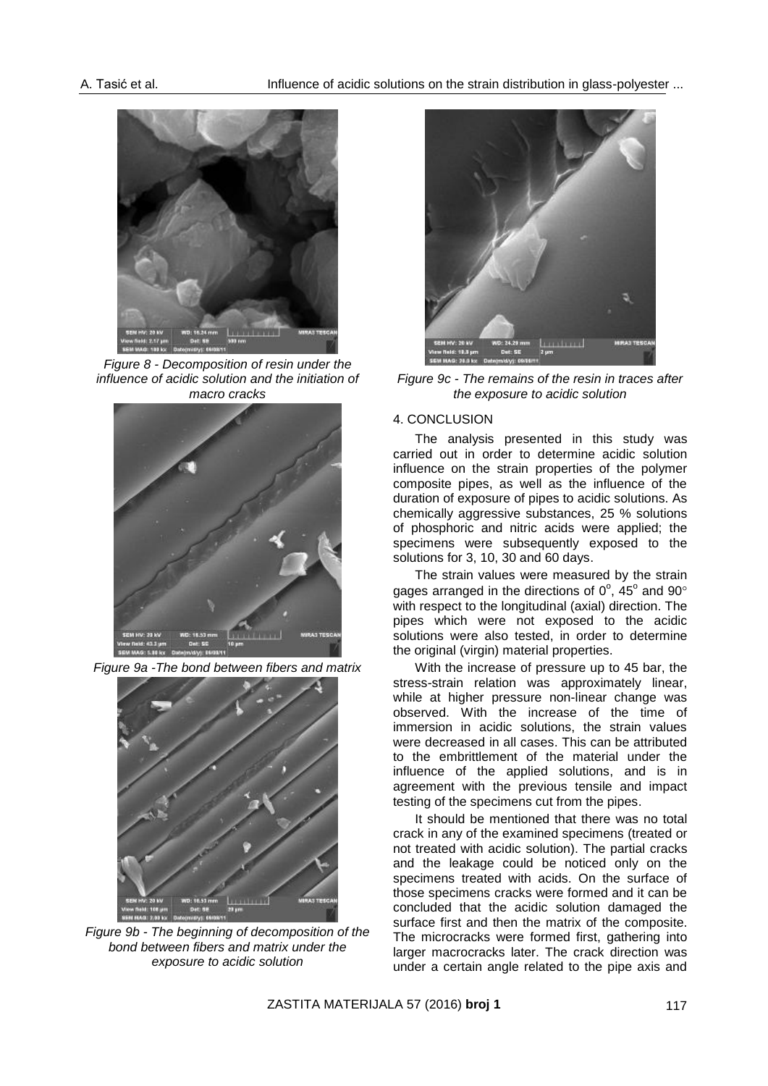

*Figure 8 - Decomposition of resin under the influence of acidic solution and the initiation of macro cracks*



*Figure 9a -The bond between fibers and matrix*



*Figure 9b - The beginning of decomposition of the bond between fibers and matrix under the exposure to acidic solution*



*Figure 9c - The remains of the resin in traces after the exposure to acidic solution*

#### 4. CONCLUSION

The analysis presented in this study was carried out in order to determine acidic solution influence on the strain properties of the polymer composite pipes, as well as the influence of the duration of exposure of pipes to acidic solutions. As chemically aggressive substances, 25 % solutions of phosphoric and nitric acids were applied; the specimens were subsequently exposed to the solutions for 3, 10, 30 and 60 days.

The strain values were measured by the strain gages arranged in the directions of  $0^{\circ}$ , 45° and 90° with respect to the longitudinal (axial) direction. The pipes which were not exposed to the acidic solutions were also tested, in order to determine the original (virgin) material properties.

With the increase of pressure up to 45 bar, the stress-strain relation was approximately linear, while at higher pressure non-linear change was observed. With the increase of the time of immersion in acidic solutions, the strain values were decreased in all cases. This can be attributed to the embrittlement of the material under the influence of the applied solutions, and is in agreement with the previous tensile and impact testing of the specimens cut from the pipes.

It should be mentioned that there was no total crack in any of the examined specimens (treated or not treated with acidic solution). The partial cracks and the leakage could be noticed only on the specimens treated with acids. On the surface of those specimens cracks were formed and it can be concluded that the acidic solution damaged the surface first and then the matrix of the composite. The microcracks were formed first, gathering into larger macrocracks later. The crack direction was under a certain angle related to the pipe axis and